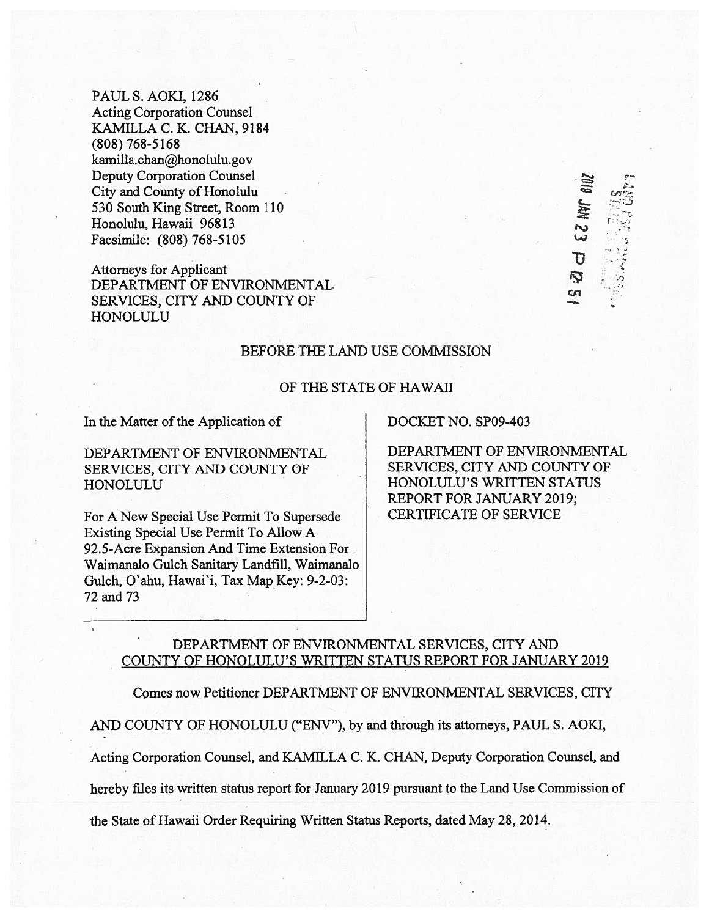PAUL S. AOKI, 1286 Acting Corporation Counsel KAMILLA C. K. CHAN, 9184 (808) 768-5168 kamilla.chan@honolulu.gov Deputy Corporation Counsel City and County of Honolulu 530 South King Street, Room 110 Honolulu, Hawaii 96813 . Facsimile: (808) 768-5105

Attorneys for Applicant **DEPARTMENT OF ENVIRONMENTAL FOR ALL CONSUMERTY** SERVICES, CITY AND COUNTY OF HONOLULU

#### BEFORE THE LAND USE COMMISSION

### OF THE STATE OF HAWAII

In the Matter of the Application of DOCKET NO. SPO9-403

SERVICES, CITY AND COUNTY OF SERVICES, CITY AND COUNTY OF HONOLULU HONOLULU'S WRITTEN STATUS

For A New Special Use Permit To Supersede CERTIFICATE OF SERVICE Existing Special Use Permit To Allow A 92.5-Acre Expansion And Time Extension For Waimanalo Gulch Sanitary Landfill, Waimanalo Gulch, O'ahu, Hawai'i, Tax Map Key: 9-2-03: 72 and 73

DEPARTMENT OF ENVIRONMENTAL DEPARTMENT OF ENVIRONMENTAL REPORT FOR JANUARY 2019;

EZ NW 610Z

O

## DEPARTMENT OF ENVIRONMENTAL SERVICES, CITY AND COUNTY OF HONOLULU'S WRITTEN STATUS REPORT FOR JANUARY 2019

Comes now Petitioner DEPARTMENT OF ENVIRONMENTAL SERVICES, CITY

AND COUNTY OF HONOLULU ("ENV"), by and through its attorneys, PAUL S. AOKI,

Acting Corporation Counsel, and KAMILLA C. K. CHAN, Deputy Corporation Counsel, and

hereby files its written status repor<sup>t</sup> for January 2019 pursuan<sup>t</sup> to the Land Use Commission of

the State of Hawaii Order Requiring Written Status Reports, dated May 28, 2014.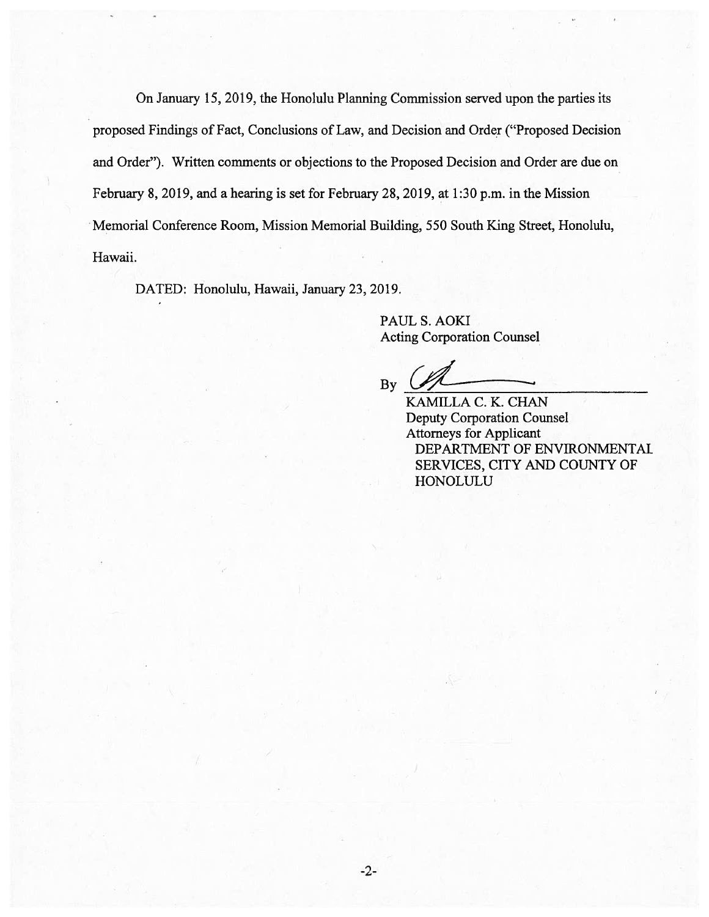On January 15, 2019, the Honolulu Planning Commission served upon the parties its proposed Findings of Fact, Conclusions of Law, and Decision and Order ("Proposed Decision and Order"). Written comments or objections to the Proposed Decision and Order are due on February 8, 2019, and <sup>a</sup> hearing is set for February 28, 2019, at 1:30 p.m. in the Mission Memorial Conference Room, Mission Memorial Building, 550 South King Street, Honolulu, Hawaii.

DATED: Honolulu, Hawaii, January 23, 2019.

PAUL S. AOKI Acting Corporation Counsel

 $By \sim$ 

KAMILLA C. K. CHAN Deputy Corporation Counsel Attorneys for Applicant DEPARTMENT OF ENVIRONMENTAL SERVICES, CITY AND COUNTY OF HONOLULU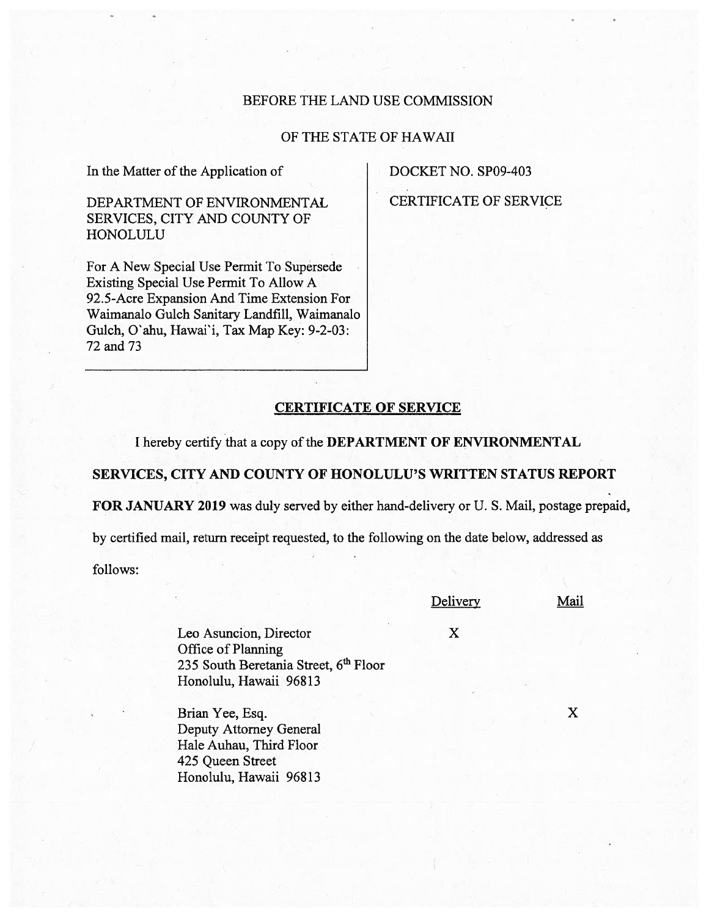### BEFORE THE LAND USE COMMISSION

# OF THE STATE OF HAWAII

In the Matter of the Application of DOCKET NO. SP09-403

SERVICES, CITY AND COUNTY OF HONOLULU

For A New Special Use Permit To Supersede Existing Special Use Permit To Allow A 92.5-Acre Expansion And Time Extension For Waimanalo Gulch Sanitary Landfill, Waimanalo Gulch, O'ahu, Hawai'i, Tax Map Key: 9-2-03: 72 and 73

DEPARTMENT OF ENVIRONMENTAL CERTIFICATE OF SERVICE

## CERTIFICATE OF SERVICE

I hereby certify that a copy of the DEPARTMENT OF ENVIRONMENTAL

SERVICES, CITY AND COUNTY OF HONOLULU'S WRITTEN STATUS REPORT

FOR JANUARY 2019 was duly served by either hand-delivery or U. S. Mail, postage prepaid,

by certified mail, return receipt requested, to the following on the date below, addressed as

follows:

#### **Delivery**

Mail

Leo Asuncion, Director X Office of Planning 235 South Beretania Street, 6<sup>th</sup> Floor Honolulu, Hawaii 96813

Brian Yee, Esq. X Deputy Attorney General Hale Auhau, Third Floor 425 Queen Street Honolulu, Hawaii 96813